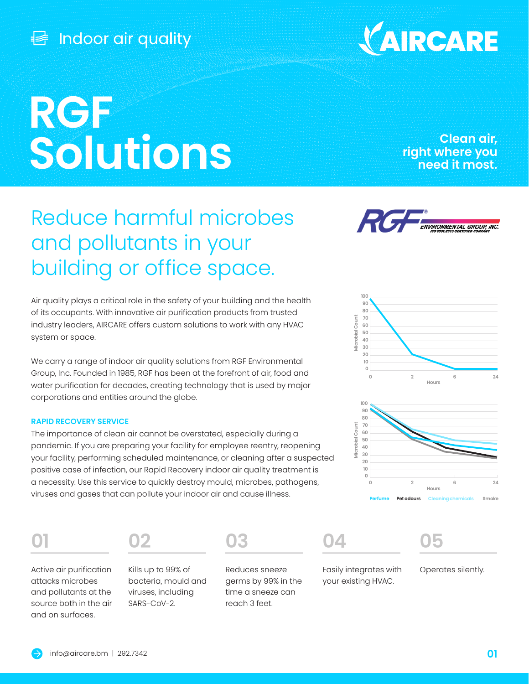## Indoor air quality

# **RGF Solutions**

### **Clean air, right where you need it most.**

## Reduce harmful microbes and pollutants in your building or office space.

Rí, **ENVIRONMENTAL GROUP. INC.** 

VAIRCARE



Group, Inc. Founded in 1985, RGF has been at the forefront of air, food and water purification for decades, creating technology that is used by major corporations and entities around the globe.

#### **RAPID RECOVERY SERVICE**

The importance of clean air cannot be overstated, especially during a pandemic. If you are preparing your facility for employee reentry, reopening your facility, performing scheduled maintenance, or cleaning after a suspected positive case of infection, our Rapid Recovery indoor air quality treatment is a necessity. Use this service to quickly destroy mould, microbes, pathogens, viruses and gases that can pollute your indoor air and cause illness.

Active air purification attacks microbes and pollutants at the source both in the air and on surfaces.

**01 02 03 04 05**

Kills up to 99% of bacteria, mould and viruses, including SARS-CoV-2.



Reduces sneeze germs by 99% in the time a sneeze can reach 3 feet.





Easily integrates with your existing HVAC.

Operates silently.

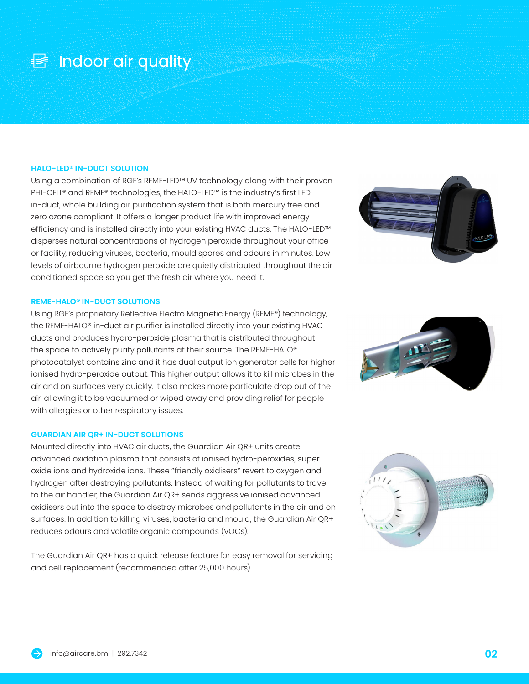## **昼** Indoor air quality

#### **HALO-LED® IN-DUCT SOLUTION**

Using a combination of RGF's REME-LED™ UV technology along with their proven PHI-CELL® and REME® technologies, the HALO-LED™ is the industry's first LED in-duct, whole building air purification system that is both mercury free and zero ozone compliant. It offers a longer product life with improved energy efficiency and is installed directly into your existing HVAC ducts. The HALO-LED™ disperses natural concentrations of hydrogen peroxide throughout your office or facility, reducing viruses, bacteria, mould spores and odours in minutes. Low levels of airbourne hydrogen peroxide are quietly distributed throughout the air conditioned space so you get the fresh air where you need it.

#### **REME-HALO® IN-DUCT SOLUTIONS**

Using RGF's proprietary Reflective Electro Magnetic Energy (REME®) technology, the REME-HALO® in-duct air purifier is installed directly into your existing HVAC ducts and produces hydro-peroxide plasma that is distributed throughout the space to actively purify pollutants at their source. The REME-HALO® photocatalyst contains zinc and it has dual output ion generator cells for higher ionised hydro-peroxide output. This higher output allows it to kill microbes in the air and on surfaces very quickly. It also makes more particulate drop out of the air, allowing it to be vacuumed or wiped away and providing relief for people with allergies or other respiratory issues.

#### **GUARDIAN AIR QR+ IN-DUCT SOLUTIONS**

Mounted directly into HVAC air ducts, the Guardian Air QR+ units create advanced oxidation plasma that consists of ionised hydro-peroxides, super oxide ions and hydroxide ions. These "friendly oxidisers" revert to oxygen and hydrogen after destroying pollutants. Instead of waiting for pollutants to travel to the air handler, the Guardian Air QR+ sends aggressive ionised advanced oxidisers out into the space to destroy microbes and pollutants in the air and on surfaces. In addition to killing viruses, bacteria and mould, the Guardian Air QR+ reduces odours and volatile organic compounds (VOCs).

The Guardian Air QR+ has a quick release feature for easy removal for servicing and cell replacement (recommended after 25,000 hours).





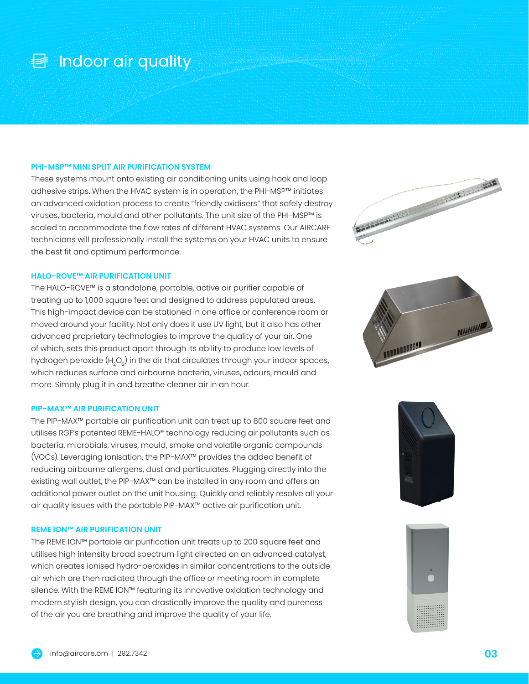## **昼** Indoor air quality

#### **PHI-MSP™ MINI SPLIT AIR PURIFICATION SYSTEM**

These systems mount onto existing air conditioning units using hook and loop adhesive strips. When the HVAC system is in operation, the PHI-MSP™ initiates an advanced oxidation process to create "friendly oxidisers" that safely destroy viruses, bacteria, mould and other pollutants. The unit size of the PHI-MSP™ is scaled to accommodate the flow rates of different HVAC systems. Our AIRCARE technicians will professionally install the systems on your HVAC units to ensure the best fit and optimum performance.

#### **HALO-ROVE™ AIR PURIFICATION UNIT**

The HALO-ROVE™ is a standalone, portable, active air purifier capable of treating up to 1,000 square feet and designed to address populated areas. This high-impact device can be stationed in one office or conference room or moved around your facility. Not only does it use UV light, but it also has other advanced proprietary technologies to improve the quality of your air. One of which, sets this product apart through its ability to produce low levels of hydrogen peroxide (H $_{\rm 2}$ O $_{\rm 2}$ ) in the air that circulates through your indoor spaces, which reduces surface and airbourne bacteria, viruses, odours, mould and more. Simply plug it in and breathe cleaner air in an hour.

#### **PIP-MAX™ AIR PURIFICATION UNIT**

The PIP-MAX™ portable air purification unit can treat up to 800 square feet and utilises RGF's patented REME-HALO® technology reducing air pollutants such as bacteria, microbials, viruses, mould, smoke and volatile organic compounds (VOCs). Leveraging ionisation, the PIP-MAX™ provides the added benefit of reducing airbourne allergens, dust and particulates. Plugging directly into the existing wall outlet, the PIP-MAX™ can be installed in any room and offers an additional power outlet on the unit housing. Quickly and reliably resolve all your air quality issues with the portable PIP-MAX™ active air purification unit.

#### **REME ION™ AIR PURIFICATION UNIT**

The REME ION™ portable air purification unit treats up to 200 square feet and utilises high intensity broad spectrum light directed on an advanced catalyst, which creates ionised hydro-peroxides in similar concentrations to the outside air which are then radiated through the office or meeting room in complete silence. With the REME ION™ featuring its innovative oxidation technology and modern stylish design, you can drastically improve the quality and pureness of the air you are breathing and improve the quality of your life.